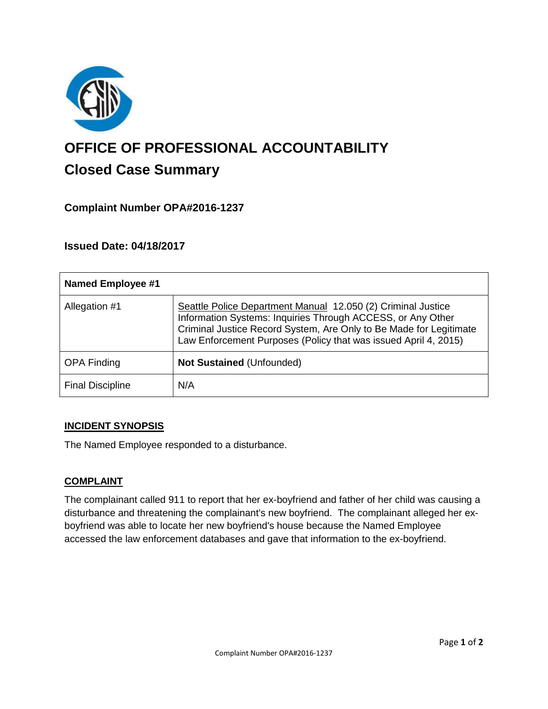

# **OFFICE OF PROFESSIONAL ACCOUNTABILITY Closed Case Summary**

## **Complaint Number OPA#2016-1237**

## **Issued Date: 04/18/2017**

| <b>Named Employee #1</b> |                                                                                                                                                                                                                                                                      |
|--------------------------|----------------------------------------------------------------------------------------------------------------------------------------------------------------------------------------------------------------------------------------------------------------------|
| Allegation #1            | Seattle Police Department Manual 12.050 (2) Criminal Justice<br>Information Systems: Inquiries Through ACCESS, or Any Other<br>Criminal Justice Record System, Are Only to Be Made for Legitimate<br>Law Enforcement Purposes (Policy that was issued April 4, 2015) |
| <b>OPA Finding</b>       | <b>Not Sustained (Unfounded)</b>                                                                                                                                                                                                                                     |
| <b>Final Discipline</b>  | N/A                                                                                                                                                                                                                                                                  |

## **INCIDENT SYNOPSIS**

The Named Employee responded to a disturbance.

## **COMPLAINT**

The complainant called 911 to report that her ex-boyfriend and father of her child was causing a disturbance and threatening the complainant's new boyfriend. The complainant alleged her exboyfriend was able to locate her new boyfriend's house because the Named Employee accessed the law enforcement databases and gave that information to the ex-boyfriend.